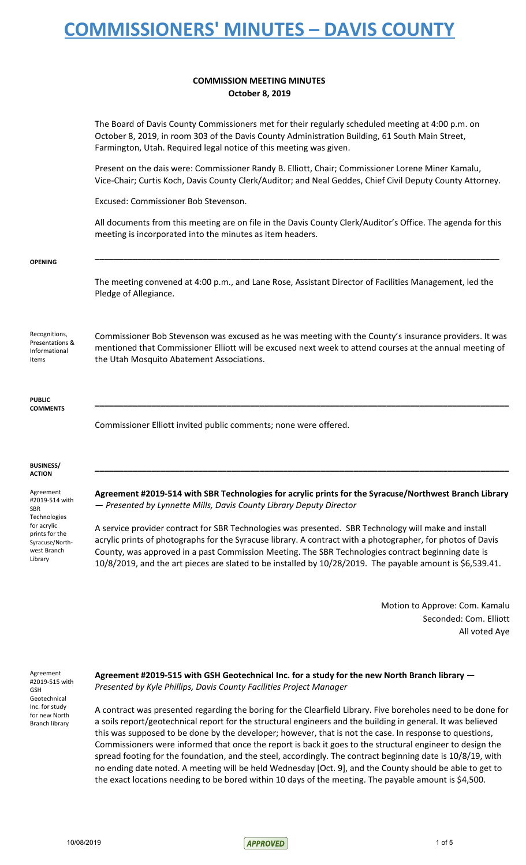#### **COMMISSION MEETING MINUTES October 8, 2019**

|                                                                                            | The Board of Davis County Commissioners met for their regularly scheduled meeting at 4:00 p.m. on<br>October 8, 2019, in room 303 of the Davis County Administration Building, 61 South Main Street,<br>Farmington, Utah. Required legal notice of this meeting was given.                                                                                                                                                             |
|--------------------------------------------------------------------------------------------|----------------------------------------------------------------------------------------------------------------------------------------------------------------------------------------------------------------------------------------------------------------------------------------------------------------------------------------------------------------------------------------------------------------------------------------|
|                                                                                            | Present on the dais were: Commissioner Randy B. Elliott, Chair; Commissioner Lorene Miner Kamalu,<br>Vice-Chair; Curtis Koch, Davis County Clerk/Auditor; and Neal Geddes, Chief Civil Deputy County Attorney.                                                                                                                                                                                                                         |
|                                                                                            | Excused: Commissioner Bob Stevenson.                                                                                                                                                                                                                                                                                                                                                                                                   |
|                                                                                            | All documents from this meeting are on file in the Davis County Clerk/Auditor's Office. The agenda for this<br>meeting is incorporated into the minutes as item headers.                                                                                                                                                                                                                                                               |
| <b>OPENING</b>                                                                             |                                                                                                                                                                                                                                                                                                                                                                                                                                        |
|                                                                                            | The meeting convened at 4:00 p.m., and Lane Rose, Assistant Director of Facilities Management, led the<br>Pledge of Allegiance.                                                                                                                                                                                                                                                                                                        |
| Recognitions,<br>Presentations &<br>Informational<br>Items                                 | Commissioner Bob Stevenson was excused as he was meeting with the County's insurance providers. It was<br>mentioned that Commissioner Elliott will be excused next week to attend courses at the annual meeting of<br>the Utah Mosquito Abatement Associations.                                                                                                                                                                        |
| <b>PUBLIC</b><br><b>COMMENTS</b>                                                           |                                                                                                                                                                                                                                                                                                                                                                                                                                        |
|                                                                                            | Commissioner Elliott invited public comments; none were offered.                                                                                                                                                                                                                                                                                                                                                                       |
| <b>BUSINESS/</b><br><b>ACTION</b>                                                          |                                                                                                                                                                                                                                                                                                                                                                                                                                        |
| Agreement<br>#2019-514 with<br>SBR                                                         | Agreement #2019-514 with SBR Technologies for acrylic prints for the Syracuse/Northwest Branch Library<br>- Presented by Lynnette Mills, Davis County Library Deputy Director                                                                                                                                                                                                                                                          |
| Technologies<br>for acrylic<br>prints for the<br>Syracuse/North-<br>west Branch<br>Library | A service provider contract for SBR Technologies was presented. SBR Technology will make and install<br>acrylic prints of photographs for the Syracuse library. A contract with a photographer, for photos of Davis<br>County, was approved in a past Commission Meeting. The SBR Technologies contract beginning date is<br>10/8/2019, and the art pieces are slated to be installed by 10/28/2019. The payable amount is \$6,539.41. |

Motion to Approve: Com. Kamalu Seconded: Com. Elliott All voted Aye

Agreement #2019-515 with GSH Geotechnical Inc. for study for new North Branch library

> **Agreement #2019-515 with GSH Geotechnical Inc. for a study for the new North Branch library** — *Presented by Kyle Phillips, Davis County Facilities Project Manager*

A contract was presented regarding the boring for the Clearfield Library. Five boreholes need to be done for a soils report/geotechnical report for the structural engineers and the building in general. It was believed this was supposed to be done by the developer; however, that is not the case. In response to questions, Commissioners were informed that once the report is back it goes to the structural engineer to design the spread footing for the foundation, and the steel, accordingly. The contract beginning date is 10/8/19, with no ending date noted. A meeting will be held Wednesday [Oct. 9], and the County should be able to get to the exact locations needing to be bored within 10 days of the meeting. The payable amount is \$4,500.

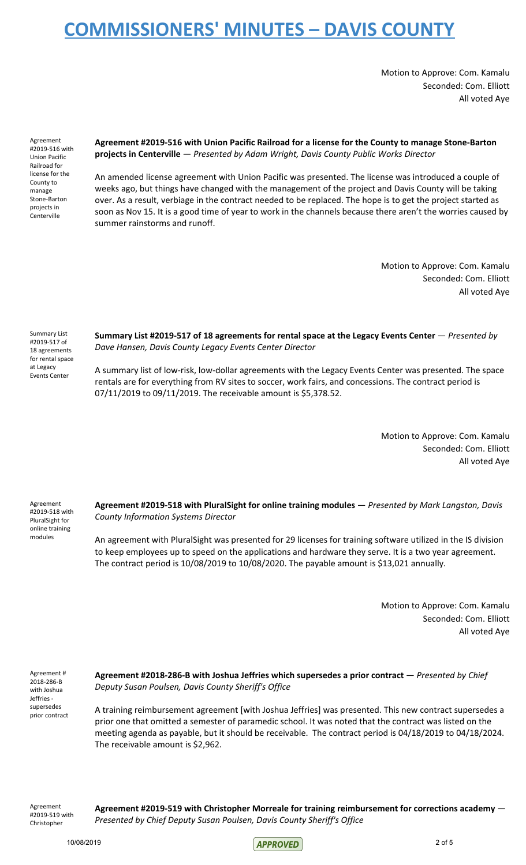Motion to Approve: Com. Kamalu Seconded: Com. Elliott All voted Aye

Agreement #2019-516 with Union Pacific Railroad for license for the County to manage Stone-Barton projects in Centerville

#### **Agreement #2019-516 with Union Pacific Railroad for a license for the County to manage Stone-Barton projects in Centerville** — *Presented by Adam Wright, Davis County Public Works Director*

An amended license agreement with Union Pacific was presented. The license was introduced a couple of weeks ago, but things have changed with the management of the project and Davis County will be taking over. As a result, verbiage in the contract needed to be replaced. The hope is to get the project started as soon as Nov 15. It is a good time of year to work in the channels because there aren't the worries caused by summer rainstorms and runoff.

> Motion to Approve: Com. Kamalu Seconded: Com. Elliott All voted Aye

Summary List #2019-517 of 18 agreements for rental space at Legacy Events Center

**Summary List #2019-517 of 18 agreements for rental space at the Legacy Events Center** — *Presented by Dave Hansen, Davis County Legacy Events Center Director*

A summary list of low-risk, low-dollar agreements with the Legacy Events Center was presented. The space rentals are for everything from RV sites to soccer, work fairs, and concessions. The contract period is 07/11/2019 to 09/11/2019. The receivable amount is \$5,378.52.

> Motion to Approve: Com. Kamalu Seconded: Com. Elliott All voted Aye

Agreement #2019-518 with PluralSight for online training modules

**Agreement #2019-518 with PluralSight for online training modules** — *Presented by Mark Langston, Davis County Information Systems Director*

An agreement with PluralSight was presented for 29 licenses for training software utilized in the IS division to keep employees up to speed on the applications and hardware they serve. It is a two year agreement. The contract period is 10/08/2019 to 10/08/2020. The payable amount is \$13,021 annually.

> Motion to Approve: Com. Kamalu Seconded: Com. Elliott All voted Aye

Agreement # 2018-286-B with Joshua Jeffries supersedes prior contract **Agreement #2018-286-B with Joshua Jeffries which supersedes a prior contract** — *Presented by Chief Deputy Susan Poulsen, Davis County Sheriff's Office*

A training reimbursement agreement [with Joshua Jeffries] was presented. This new contract supersedes a prior one that omitted a semester of paramedic school. It was noted that the contract was listed on the meeting agenda as payable, but it should be receivable. The contract period is 04/18/2019 to 04/18/2024. The receivable amount is \$2,962.

Agreement #2019-519 with Christopher

**Agreement #2019-519 with Christopher Morreale for training reimbursement for corrections academy** — *Presented by Chief Deputy Susan Poulsen, Davis County Sheriff's Office*

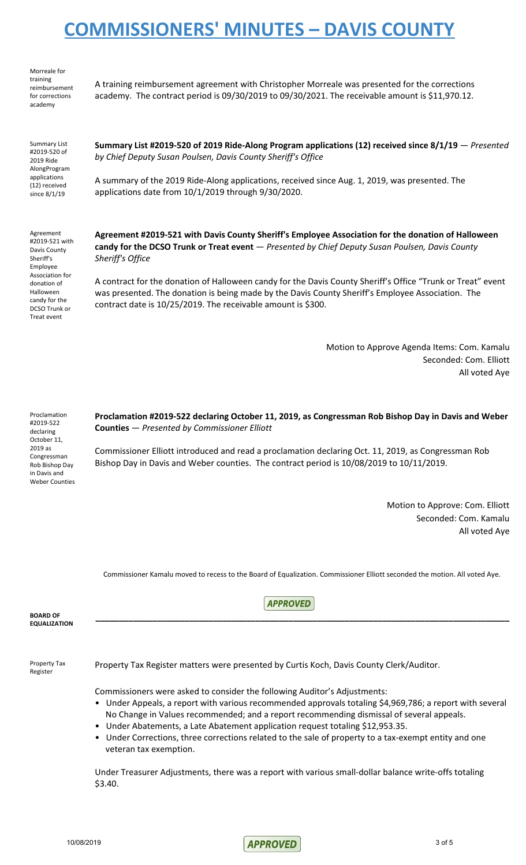Morreale for training reimbursement for corrections academy

A training reimbursement agreement with Christopher Morreale was presented for the corrections academy. The contract period is 09/30/2019 to 09/30/2021. The receivable amount is \$11,970.12.

Summary List #2019-520 of 2019 Ride AlongProgram applications (12) received since 8/1/19

**Summary List #2019-520 of 2019 Ride-Along Program applications (12) received since 8/1/19** — *Presented by Chief Deputy Susan Poulsen, Davis County Sheriff's Office*

A summary of the 2019 Ride-Along applications, received since Aug. 1, 2019, was presented. The applications date from 10/1/2019 through 9/30/2020.

Agreement #2019-521 with Davis County Sheriff's Employee Association for donation of Halloween candy for the DCSO Trunk or Treat event

**Agreement #2019-521 with Davis County Sheriff's Employee Association for the donation of Halloween candy for the DCSO Trunk or Treat event** — *Presented by Chief Deputy Susan Poulsen, Davis County Sheriff's Office*

A contract for the donation of Halloween candy for the Davis County Sheriff's Office "Trunk or Treat" event was presented. The donation is being made by the Davis County Sheriff's Employee Association. The contract date is 10/25/2019. The receivable amount is \$300.

> Motion to Approve Agenda Items: Com. Kamalu Seconded: Com. Elliott All voted Aye

Proclamation #2019-522 declaring October 11, 2019 as Congressman Rob Bishop Day in Davis and Weber Counties

**Proclamation #2019-522 declaring October 11, 2019, as Congressman Rob Bishop Day in Davis and Weber Counties** — *Presented by Commissioner Elliott*

Commissioner Elliott introduced and read a proclamation declaring Oct. 11, 2019, as Congressman Rob Bishop Day in Davis and Weber counties. The contract period is 10/08/2019 to 10/11/2019.

> Motion to Approve: Com. Elliott Seconded: Com. Kamalu All voted Aye

Commissioner Kamalu moved to recess to the Board of Equalization. Commissioner Elliott seconded the motion. All voted Aye.

**\_\_\_\_\_\_\_\_\_\_\_\_\_\_\_\_\_\_\_\_\_\_\_\_\_\_\_\_\_\_\_\_\_\_\_\_\_\_\_\_\_\_\_\_\_\_\_\_\_\_\_\_\_\_\_\_\_\_\_\_\_\_\_\_\_\_\_\_\_\_\_\_\_\_\_\_\_\_\_\_\_\_\_\_\_\_\_\_**

**APPROVED** 

**BOARD OF EQUALIZATION**

Property Tax Register

Property Tax Register matters were presented by Curtis Koch, Davis County Clerk/Auditor.

Commissioners were asked to consider the following Auditor's Adjustments:

- Under Appeals, a report with various recommended approvals totaling \$4,969,786; a report with several No Change in Values recommended; and a report recommending dismissal of several appeals.
- Under Abatements, a Late Abatement application request totaling \$12,953.35.
- Under Corrections, three corrections related to the sale of property to a tax-exempt entity and one veteran tax exemption.

Under Treasurer Adjustments, there was a report with various small-dollar balance write-offs totaling \$3.40.

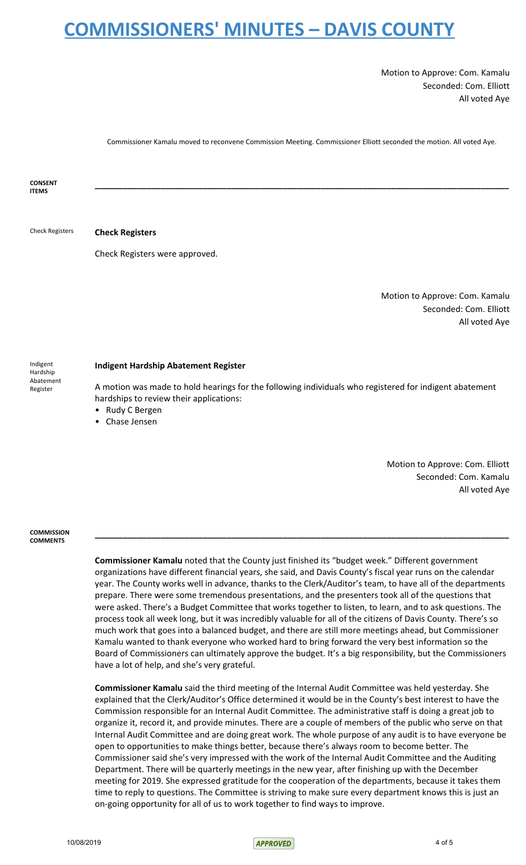Motion to Approve: Com. Kamalu Seconded: Com. Elliott All voted Aye

Commissioner Kamalu moved to reconvene Commission Meeting. Commissioner Elliott seconded the motion. All voted Aye.

**CONSENT ITEMS \_\_\_\_\_\_\_\_\_\_\_\_\_\_\_\_\_\_\_\_\_\_\_\_\_\_\_\_\_\_\_\_\_\_\_\_\_\_\_\_\_\_\_\_\_\_\_\_\_\_\_\_\_\_\_\_\_\_\_\_\_\_\_\_\_\_\_\_\_\_\_\_\_\_\_\_\_\_\_\_\_\_\_\_\_\_\_\_** Check Registers **Check Registers** Check Registers were approved. Motion to Approve: Com. Kamalu Seconded: Com. Elliott All voted Aye Indigent Hardship Abatement Register **Indigent Hardship Abatement Register** A motion was made to hold hearings for the following individuals who registered for indigent abatement

hardships to review their applications:

- Rudy C Bergen
- Chase Jensen

Motion to Approve: Com. Elliott Seconded: Com. Kamalu All voted Aye

#### **COMMISSION COMMENTS**

**Commissioner Kamalu** noted that the County just finished its "budget week." Different government organizations have different financial years, she said, and Davis County's fiscal year runs on the calendar year. The County works well in advance, thanks to the Clerk/Auditor's team, to have all of the departments prepare. There were some tremendous presentations, and the presenters took all of the questions that were asked. There's a Budget Committee that works together to listen, to learn, and to ask questions. The process took all week long, but it was incredibly valuable for all of the citizens of Davis County. There's so much work that goes into a balanced budget, and there are still more meetings ahead, but Commissioner Kamalu wanted to thank everyone who worked hard to bring forward the very best information so the Board of Commissioners can ultimately approve the budget. It's a big responsibility, but the Commissioners have a lot of help, and she's very grateful.

**\_\_\_\_\_\_\_\_\_\_\_\_\_\_\_\_\_\_\_\_\_\_\_\_\_\_\_\_\_\_\_\_\_\_\_\_\_\_\_\_\_\_\_\_\_\_\_\_\_\_\_\_\_\_\_\_\_\_\_\_\_\_\_\_\_\_\_\_\_\_\_\_\_\_\_\_\_\_\_\_\_\_\_\_\_\_\_\_**

**Commissioner Kamalu** said the third meeting of the Internal Audit Committee was held yesterday. She explained that the Clerk/Auditor's Office determined it would be in the County's best interest to have the Commission responsible for an Internal Audit Committee. The administrative staff is doing a great job to organize it, record it, and provide minutes. There are a couple of members of the public who serve on that Internal Audit Committee and are doing great work. The whole purpose of any audit is to have everyone be open to opportunities to make things better, because there's always room to become better. The Commissioner said she's very impressed with the work of the Internal Audit Committee and the Auditing Department. There will be quarterly meetings in the new year, after finishing up with the December meeting for 2019. She expressed gratitude for the cooperation of the departments, because it takes them time to reply to questions. The Committee is striving to make sure every department knows this is just an on-going opportunity for all of us to work together to find ways to improve.